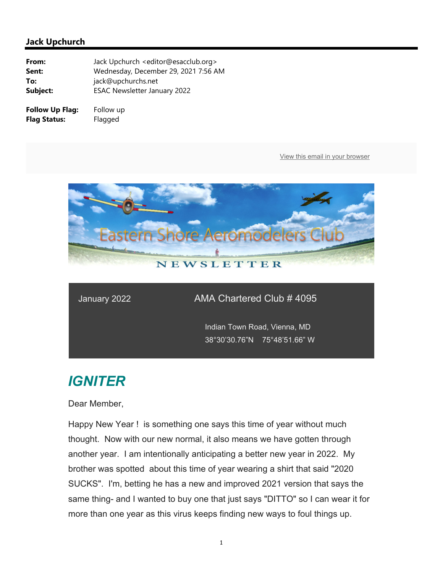

### January 2022 AMA Chartered Club # 4095

 Indian Town Road, Vienna, MD 38°30'30.76"N 75°48'51.66" W

# *IGNITER*

Dear Member,

Happy New Year ! is something one says this time of year without much thought. Now with our new normal, it also means we have gotten through another year. I am intentionally anticipating a better new year in 2022. My brother was spotted about this time of year wearing a shirt that said "2020 SUCKS". I'm, betting he has a new and improved 2021 version that says the same thing- and I wanted to buy one that just says "DITTO" so I can wear it for more than one year as this virus keeps finding new ways to foul things up.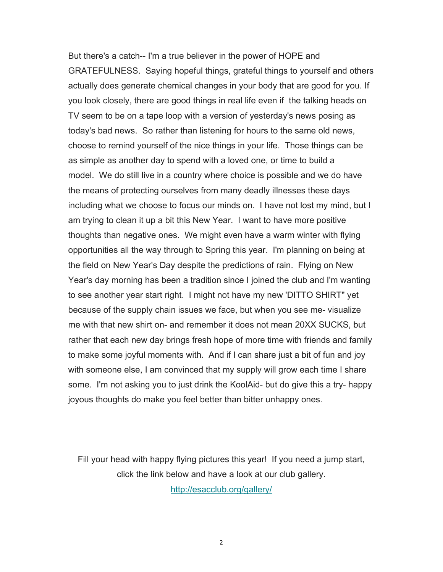But there's a catch-- I'm a true believer in the power of HOPE and GRATEFULNESS. Saying hopeful things, grateful things to yourself and others actually does generate chemical changes in your body that are good for you. If you look closely, there are good things in real life even if the talking heads on TV seem to be on a tape loop with a version of yesterday's news posing as today's bad news. So rather than listening for hours to the same old news, choose to remind yourself of the nice things in your life. Those things can be as simple as another day to spend with a loved one, or time to build a model. We do still live in a country where choice is possible and we do have the means of protecting ourselves from many deadly illnesses these days including what we choose to focus our minds on. I have not lost my mind, but I am trying to clean it up a bit this New Year. I want to have more positive thoughts than negative ones. We might even have a warm winter with flying opportunities all the way through to Spring this year. I'm planning on being at the field on New Year's Day despite the predictions of rain. Flying on New Year's day morning has been a tradition since I joined the club and I'm wanting to see another year start right. I might not have my new 'DITTO SHIRT" yet because of the supply chain issues we face, but when you see me- visualize me with that new shirt on- and remember it does not mean 20XX SUCKS, but rather that each new day brings fresh hope of more time with friends and family to make some joyful moments with. And if I can share just a bit of fun and joy with someone else, I am convinced that my supply will grow each time I share some. I'm not asking you to just drink the KoolAid- but do give this a try- happy joyous thoughts do make you feel better than bitter unhappy ones.

Fill your head with happy flying pictures this year! If you need a jump start, click the link below and have a look at our club gallery.

http://esacclub.org/gallery/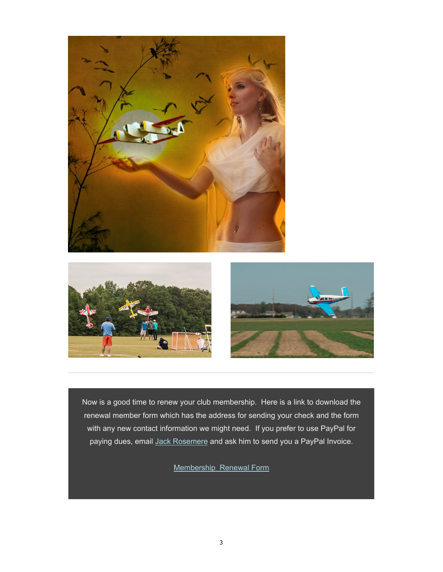





Now is a good time to renew your club membership. Here is a link to download the renewal member form which has the address for sending your check and the form with any new contact information we might need. If you prefer to use PayPal for paying dues, email Jack Rosemere and ask him to send you a PayPal Invoice.

Membership Renewal Form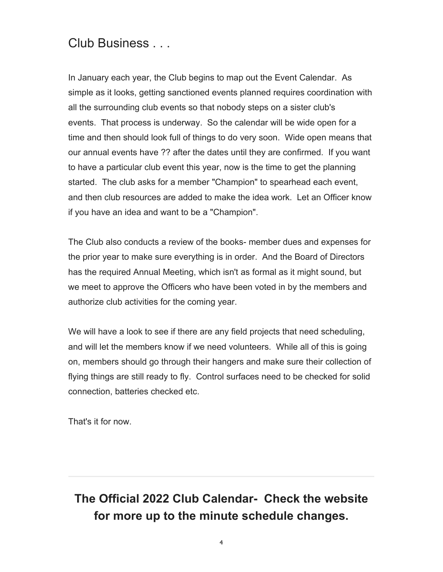## Club Business . . .

In January each year, the Club begins to map out the Event Calendar. As simple as it looks, getting sanctioned events planned requires coordination with all the surrounding club events so that nobody steps on a sister club's events. That process is underway. So the calendar will be wide open for a time and then should look full of things to do very soon. Wide open means that our annual events have ?? after the dates until they are confirmed. If you want to have a particular club event this year, now is the time to get the planning started. The club asks for a member "Champion" to spearhead each event, and then club resources are added to make the idea work. Let an Officer know if you have an idea and want to be a "Champion".

The Club also conducts a review of the books- member dues and expenses for the prior year to make sure everything is in order. And the Board of Directors has the required Annual Meeting, which isn't as formal as it might sound, but we meet to approve the Officers who have been voted in by the members and authorize club activities for the coming year.

We will have a look to see if there are any field projects that need scheduling, and will let the members know if we need volunteers. While all of this is going on, members should go through their hangers and make sure their collection of flying things are still ready to fly. Control surfaces need to be checked for solid connection, batteries checked etc.

That's it for now.

# **The Official 2022 Club Calendar- Check the website for more up to the minute schedule changes.**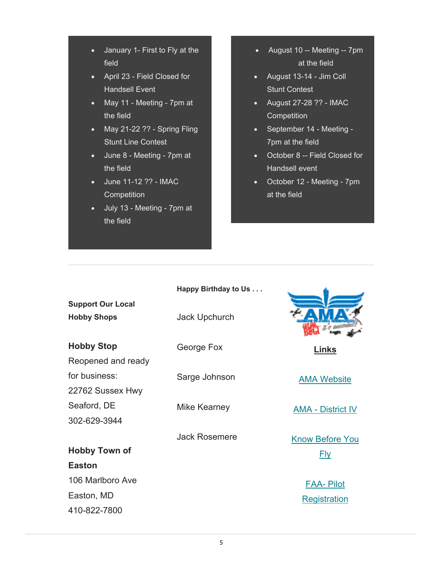- January 1- First to Fly at the field
- April 23 Field Closed for Handsell Event
- May 11 Meeting 7pm at the field
- $-May 21-22$  ?? Spring Fling Stunt Line Contest
- June 8 Meeting 7pm at the field
- June 11-12 ?? IMAC **Competition**

410-822-7800

 July 13 - Meeting - 7pm at the field

- August 10 -- Meeting -- 7pm at the field
- August 13-14 Jim Coll Stunt Contest
- August 27-28 ?? IMAC **Competition**
- September 14 Meeting 7pm at the field
- October 8 -- Field Closed for Handsell event
- October 12 Meeting 7pm at the field

|                                                | Happy Birthday to Us |                          |
|------------------------------------------------|----------------------|--------------------------|
| <b>Support Our Local</b><br><b>Hobby Shops</b> | Jack Upchurch        |                          |
| <b>Hobby Stop</b>                              | George Fox           | Links                    |
| Reopened and ready                             |                      |                          |
| for business:                                  | Sarge Johnson        | <b>AMA Website</b>       |
| 22762 Sussex Hwy                               |                      |                          |
| Seaford, DE                                    | Mike Kearney         | <b>AMA - District IV</b> |
| 302-629-3944                                   |                      |                          |
|                                                | <b>Jack Rosemere</b> | <b>Know Before You</b>   |
| <b>Hobby Town of</b>                           |                      | <u>Fly</u>               |
| <b>Easton</b>                                  |                      |                          |
| 106 Marlboro Ave                               |                      | <b>FAA-Pilot</b>         |
| Easton, MD                                     |                      | <b>Registration</b>      |